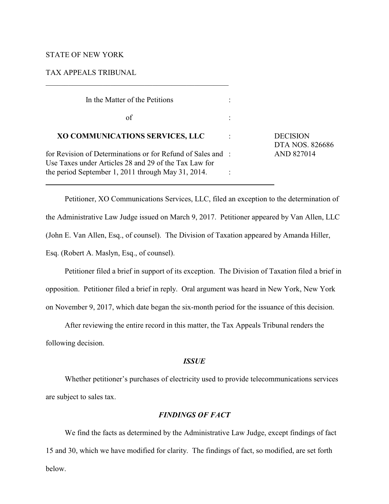### STATE OF NEW YORK

 $\overline{a}$ 

TAX APPEALS TRIBUNAL

| In the Matter of the Petitions                                                                                       |   |                                    |
|----------------------------------------------------------------------------------------------------------------------|---|------------------------------------|
| of                                                                                                                   |   |                                    |
| XO COMMUNICATIONS SERVICES, LLC                                                                                      | ٠ | <b>DECISION</b><br>DTA NOS. 826686 |
| for Revision of Determinations or for Refund of Sales and :<br>Use Taxes under Articles 28 and 29 of the Tax Law for |   | AND 827014                         |
| the period September 1, 2011 through May 31, 2014.                                                                   |   |                                    |

 $\mathcal{L}_\mathcal{L} = \{ \mathcal{L}_\mathcal{L} = \{ \mathcal{L}_\mathcal{L} = \{ \mathcal{L}_\mathcal{L} = \{ \mathcal{L}_\mathcal{L} = \{ \mathcal{L}_\mathcal{L} = \{ \mathcal{L}_\mathcal{L} = \{ \mathcal{L}_\mathcal{L} = \{ \mathcal{L}_\mathcal{L} = \{ \mathcal{L}_\mathcal{L} = \{ \mathcal{L}_\mathcal{L} = \{ \mathcal{L}_\mathcal{L} = \{ \mathcal{L}_\mathcal{L} = \{ \mathcal{L}_\mathcal{L} = \{ \mathcal{L}_\mathcal{$ 

Petitioner, XO Communications Services, LLC, filed an exception to the determination of the Administrative Law Judge issued on March 9, 2017. Petitioner appeared by Van Allen, LLC (John E. Van Allen, Esq., of counsel). The Division of Taxation appeared by Amanda Hiller, Esq. (Robert A. Maslyn, Esq., of counsel).

Petitioner filed a brief in support of its exception. The Division of Taxation filed a brief in opposition. Petitioner filed a brief in reply. Oral argument was heard in New York, New York on November 9, 2017, which date began the six-month period for the issuance of this decision.

After reviewing the entire record in this matter, the Tax Appeals Tribunal renders the following decision.

## *ISSUE*

Whether petitioner's purchases of electricity used to provide telecommunications services are subject to sales tax.

# *FINDINGS OF FACT*

We find the facts as determined by the Administrative Law Judge, except findings of fact 15 and 30, which we have modified for clarity. The findings of fact, so modified, are set forth below.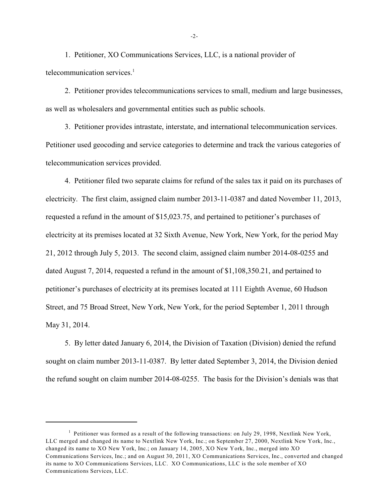1. Petitioner, XO Communications Services, LLC, is a national provider of telecommunication services. $<sup>1</sup>$ </sup>

2. Petitioner provides telecommunications services to small, medium and large businesses, as well as wholesalers and governmental entities such as public schools.

3. Petitioner provides intrastate, interstate, and international telecommunication services. Petitioner used geocoding and service categories to determine and track the various categories of telecommunication services provided.

4. Petitioner filed two separate claims for refund of the sales tax it paid on its purchases of electricity. The first claim, assigned claim number 2013-11-0387 and dated November 11, 2013, requested a refund in the amount of \$15,023.75, and pertained to petitioner's purchases of electricity at its premises located at 32 Sixth Avenue, New York, New York, for the period May 21, 2012 through July 5, 2013. The second claim, assigned claim number 2014-08-0255 and dated August 7, 2014, requested a refund in the amount of \$1,108,350.21, and pertained to petitioner's purchases of electricity at its premises located at 111 Eighth Avenue, 60 Hudson Street, and 75 Broad Street, New York, New York, for the period September 1, 2011 through May 31, 2014.

5. By letter dated January 6, 2014, the Division of Taxation (Division) denied the refund sought on claim number 2013-11-0387. By letter dated September 3, 2014, the Division denied the refund sought on claim number 2014-08-0255. The basis for the Division's denials was that

-2-

<sup>&</sup>lt;sup>1</sup> Petitioner was formed as a result of the following transactions: on July 29, 1998, Nextlink New York, LLC merged and changed its name to Nextlink New York, Inc.; on September 27, 2000, Nextlink New York, Inc., changed its name to XO New York, Inc.; on January 14, 2005, XO New York, Inc., merged into XO Communications Services, Inc.; and on August 30, 2011, XO Communications Services, Inc., converted and changed its name to XO Communications Services, LLC. XO Communications, LLC is the sole member of XO Communications Services, LLC.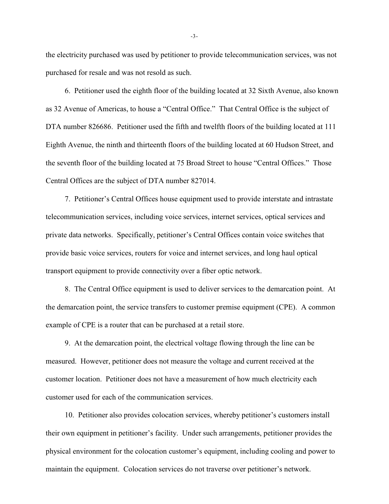the electricity purchased was used by petitioner to provide telecommunication services, was not purchased for resale and was not resold as such.

6. Petitioner used the eighth floor of the building located at 32 Sixth Avenue, also known as 32 Avenue of Americas, to house a "Central Office." That Central Office is the subject of DTA number 826686. Petitioner used the fifth and twelfth floors of the building located at 111 Eighth Avenue, the ninth and thirteenth floors of the building located at 60 Hudson Street, and the seventh floor of the building located at 75 Broad Street to house "Central Offices." Those Central Offices are the subject of DTA number 827014.

7. Petitioner's Central Offices house equipment used to provide interstate and intrastate telecommunication services, including voice services, internet services, optical services and private data networks. Specifically, petitioner's Central Offices contain voice switches that provide basic voice services, routers for voice and internet services, and long haul optical transport equipment to provide connectivity over a fiber optic network.

8. The Central Office equipment is used to deliver services to the demarcation point. At the demarcation point, the service transfers to customer premise equipment (CPE). A common example of CPE is a router that can be purchased at a retail store.

9. At the demarcation point, the electrical voltage flowing through the line can be measured. However, petitioner does not measure the voltage and current received at the customer location. Petitioner does not have a measurement of how much electricity each customer used for each of the communication services.

10. Petitioner also provides colocation services, whereby petitioner's customers install their own equipment in petitioner's facility. Under such arrangements, petitioner provides the physical environment for the colocation customer's equipment, including cooling and power to maintain the equipment. Colocation services do not traverse over petitioner's network.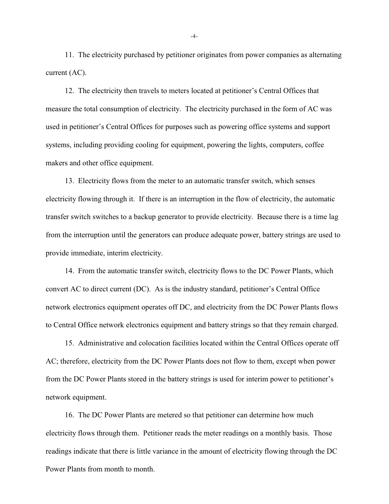11. The electricity purchased by petitioner originates from power companies as alternating current (AC).

12. The electricity then travels to meters located at petitioner's Central Offices that measure the total consumption of electricity. The electricity purchased in the form of AC was used in petitioner's Central Offices for purposes such as powering office systems and support systems, including providing cooling for equipment, powering the lights, computers, coffee makers and other office equipment.

13. Electricity flows from the meter to an automatic transfer switch, which senses electricity flowing through it. If there is an interruption in the flow of electricity, the automatic transfer switch switches to a backup generator to provide electricity. Because there is a time lag from the interruption until the generators can produce adequate power, battery strings are used to provide immediate, interim electricity.

14. From the automatic transfer switch, electricity flows to the DC Power Plants, which convert AC to direct current (DC). As is the industry standard, petitioner's Central Office network electronics equipment operates off DC, and electricity from the DC Power Plants flows to Central Office network electronics equipment and battery strings so that they remain charged.

15. Administrative and colocation facilities located within the Central Offices operate off AC; therefore, electricity from the DC Power Plants does not flow to them, except when power from the DC Power Plants stored in the battery strings is used for interim power to petitioner's network equipment.

16. The DC Power Plants are metered so that petitioner can determine how much electricity flows through them. Petitioner reads the meter readings on a monthly basis. Those readings indicate that there is little variance in the amount of electricity flowing through the DC Power Plants from month to month.

-4-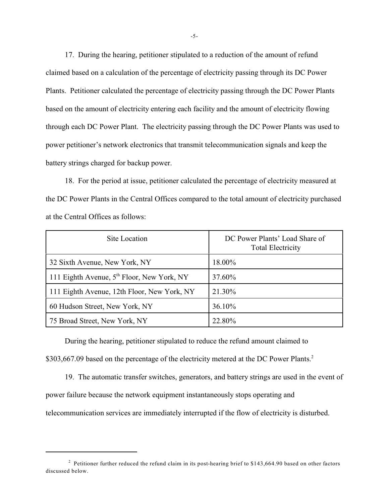17. During the hearing, petitioner stipulated to a reduction of the amount of refund claimed based on a calculation of the percentage of electricity passing through its DC Power Plants. Petitioner calculated the percentage of electricity passing through the DC Power Plants based on the amount of electricity entering each facility and the amount of electricity flowing through each DC Power Plant. The electricity passing through the DC Power Plants was used to power petitioner's network electronics that transmit telecommunication signals and keep the battery strings charged for backup power.

18. For the period at issue, petitioner calculated the percentage of electricity measured at the DC Power Plants in the Central Offices compared to the total amount of electricity purchased at the Central Offices as follows:

| Site Location                                          | DC Power Plants' Load Share of<br><b>Total Electricity</b> |
|--------------------------------------------------------|------------------------------------------------------------|
| 32 Sixth Avenue, New York, NY                          | 18.00%                                                     |
| 111 Eighth Avenue, 5 <sup>th</sup> Floor, New York, NY | 37.60%                                                     |
| 111 Eighth Avenue, 12th Floor, New York, NY            | 21.30%                                                     |
| 60 Hudson Street, New York, NY                         | 36.10%                                                     |
| 75 Broad Street, New York, NY                          | 22.80%                                                     |

During the hearing, petitioner stipulated to reduce the refund amount claimed to \$303,667.09 based on the percentage of the electricity metered at the DC Power Plants.<sup>2</sup>

19. The automatic transfer switches, generators, and battery strings are used in the event of power failure because the network equipment instantaneously stops operating and telecommunication services are immediately interrupted if the flow of electricity is disturbed.

<sup>&</sup>lt;sup>2</sup> Petitioner further reduced the refund claim in its post-hearing brief to \$143,664.90 based on other factors discussed below.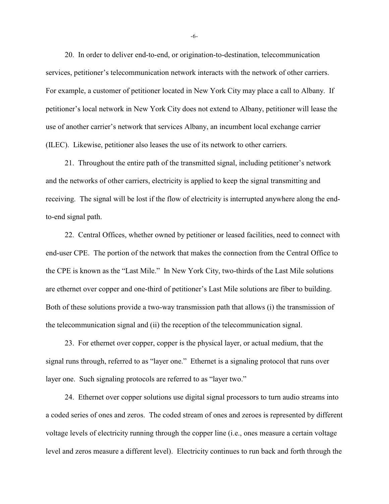20. In order to deliver end-to-end, or origination-to-destination, telecommunication services, petitioner's telecommunication network interacts with the network of other carriers. For example, a customer of petitioner located in New York City may place a call to Albany. If petitioner's local network in New York City does not extend to Albany, petitioner will lease the use of another carrier's network that services Albany, an incumbent local exchange carrier (ILEC). Likewise, petitioner also leases the use of its network to other carriers.

21. Throughout the entire path of the transmitted signal, including petitioner's network and the networks of other carriers, electricity is applied to keep the signal transmitting and receiving. The signal will be lost if the flow of electricity is interrupted anywhere along the endto-end signal path.

22. Central Offices, whether owned by petitioner or leased facilities, need to connect with end-user CPE. The portion of the network that makes the connection from the Central Office to the CPE is known as the "Last Mile." In New York City, two-thirds of the Last Mile solutions are ethernet over copper and one-third of petitioner's Last Mile solutions are fiber to building. Both of these solutions provide a two-way transmission path that allows (i) the transmission of the telecommunication signal and (ii) the reception of the telecommunication signal.

23. For ethernet over copper, copper is the physical layer, or actual medium, that the signal runs through, referred to as "layer one." Ethernet is a signaling protocol that runs over layer one. Such signaling protocols are referred to as "layer two."

24. Ethernet over copper solutions use digital signal processors to turn audio streams into a coded series of ones and zeros. The coded stream of ones and zeroes is represented by different voltage levels of electricity running through the copper line (i.e., ones measure a certain voltage level and zeros measure a different level). Electricity continues to run back and forth through the

-6-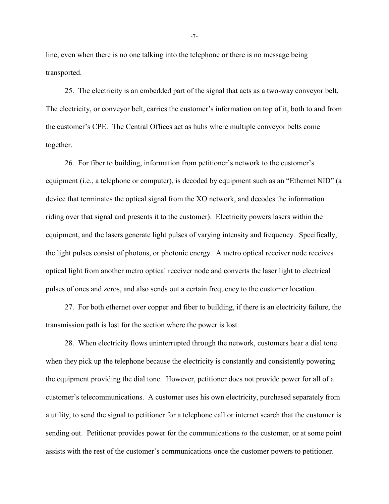line, even when there is no one talking into the telephone or there is no message being transported.

25. The electricity is an embedded part of the signal that acts as a two-way conveyor belt. The electricity, or conveyor belt, carries the customer's information on top of it, both to and from the customer's CPE. The Central Offices act as hubs where multiple conveyor belts come together.

26. For fiber to building, information from petitioner's network to the customer's equipment (i.e., a telephone or computer), is decoded by equipment such as an "Ethernet NID" (a device that terminates the optical signal from the XO network, and decodes the information riding over that signal and presents it to the customer). Electricity powers lasers within the equipment, and the lasers generate light pulses of varying intensity and frequency. Specifically, the light pulses consist of photons, or photonic energy. A metro optical receiver node receives optical light from another metro optical receiver node and converts the laser light to electrical pulses of ones and zeros, and also sends out a certain frequency to the customer location.

27. For both ethernet over copper and fiber to building, if there is an electricity failure, the transmission path is lost for the section where the power is lost.

28. When electricity flows uninterrupted through the network, customers hear a dial tone when they pick up the telephone because the electricity is constantly and consistently powering the equipment providing the dial tone. However, petitioner does not provide power for all of a customer's telecommunications. A customer uses his own electricity, purchased separately from a utility, to send the signal to petitioner for a telephone call or internet search that the customer is sending out. Petitioner provides power for the communications *to* the customer, or at some point assists with the rest of the customer's communications once the customer powers to petitioner.

-7-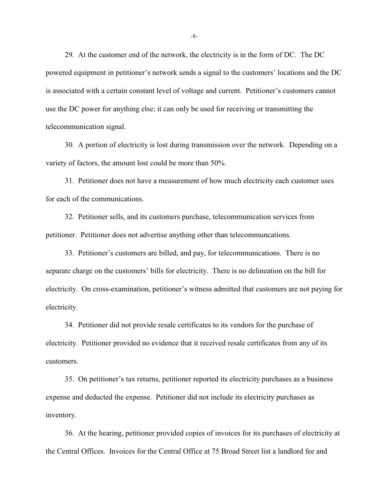29. At the customer end of the network, the electricity is in the form of DC. The DC powered equipment in petitioner's network sends a signal to the customers' locations and the DC is associated with a certain constant level of voltage and current. Petitioner's customers cannot use the DC power for anything else; it can only be used for receiving or transmitting the telecommunication signal.

30. A portion of electricity is lost during transmission over the network. Depending on a variety of factors, the amount lost could be more than 50%.

31. Petitioner does not have a measurement of how much electricity each customer uses for each of the communications.

32. Petitioner sells, and its customers purchase, telecommunication services from petitioner. Petitioner does not advertise anything other than telecommuncations.

33. Petitioner's customers are billed, and pay, for telecommunications. There is no separate charge on the customers' bills for electricity. There is no delineation on the bill for electricity. On cross-examination, petitioner's witness admitted that customers are not paying for electricity.

34. Petitioner did not provide resale certificates to its vendors for the purchase of electricity. Petitioner provided no evidence that it received resale certificates from any of its customers.

35. On petitioner's tax returns, petitioner reported its electricity purchases as a business expense and deducted the expense. Petitioner did not include its electricity purchases as inventory.

36. At the hearing, petitioner provided copies of invoices for its purchases of electricity at the Central Offices. Invoices for the Central Office at 75 Broad Street list a landlord fee and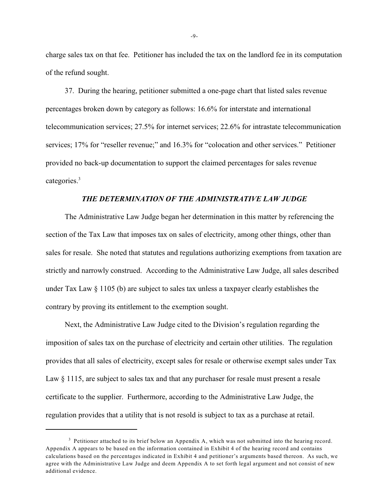charge sales tax on that fee. Petitioner has included the tax on the landlord fee in its computation of the refund sought.

37. During the hearing, petitioner submitted a one-page chart that listed sales revenue percentages broken down by category as follows: 16.6% for interstate and international telecommunication services; 27.5% for internet services; 22.6% for intrastate telecommunication services; 17% for "reseller revenue;" and 16.3% for "colocation and other services." Petitioner provided no back-up documentation to support the claimed percentages for sales revenue categories.<sup>3</sup>

### *THE DETERMINATION OF THE ADMINISTRATIVE LAW JUDGE*

The Administrative Law Judge began her determination in this matter by referencing the section of the Tax Law that imposes tax on sales of electricity, among other things, other than sales for resale. She noted that statutes and regulations authorizing exemptions from taxation are strictly and narrowly construed. According to the Administrative Law Judge, all sales described under Tax Law § 1105 (b) are subject to sales tax unless a taxpayer clearly establishes the contrary by proving its entitlement to the exemption sought.

Next, the Administrative Law Judge cited to the Division's regulation regarding the imposition of sales tax on the purchase of electricity and certain other utilities. The regulation provides that all sales of electricity, except sales for resale or otherwise exempt sales under Tax Law  $\S 1115$ , are subject to sales tax and that any purchaser for resale must present a resale certificate to the supplier. Furthermore, according to the Administrative Law Judge, the regulation provides that a utility that is not resold is subject to tax as a purchase at retail.

-9-

 $3$  Petitioner attached to its brief below an Appendix A, which was not submitted into the hearing record. Appendix A appears to be based on the information contained in Exhibit 4 of the hearing record and contains calculations based on the percentages indicated in Exhibit 4 and petitioner's arguments based thereon. As such, we agree with the Administrative Law Judge and deem Appendix A to set forth legal argument and not consist of new additional evidence.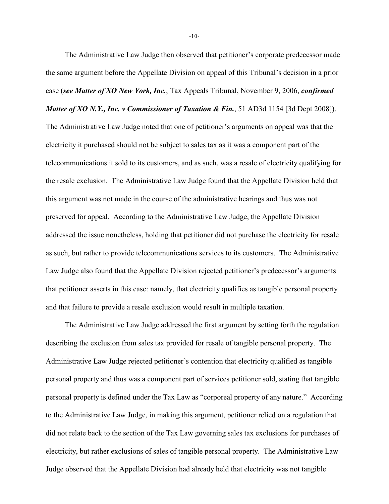The Administrative Law Judge then observed that petitioner's corporate predecessor made the same argument before the Appellate Division on appeal of this Tribunal's decision in a prior case (*see Matter of XO New York, Inc.*, Tax Appeals Tribunal, November 9, 2006, *confirmed Matter of XO N.Y., Inc. v Commissioner of Taxation & Fin.*, 51 AD3d 1154 [3d Dept 2008]).

The Administrative Law Judge noted that one of petitioner's arguments on appeal was that the electricity it purchased should not be subject to sales tax as it was a component part of the telecommunications it sold to its customers, and as such, was a resale of electricity qualifying for the resale exclusion. The Administrative Law Judge found that the Appellate Division held that this argument was not made in the course of the administrative hearings and thus was not preserved for appeal. According to the Administrative Law Judge, the Appellate Division addressed the issue nonetheless, holding that petitioner did not purchase the electricity for resale as such, but rather to provide telecommunications services to its customers. The Administrative Law Judge also found that the Appellate Division rejected petitioner's predecessor's arguments that petitioner asserts in this case: namely, that electricity qualifies as tangible personal property and that failure to provide a resale exclusion would result in multiple taxation.

The Administrative Law Judge addressed the first argument by setting forth the regulation describing the exclusion from sales tax provided for resale of tangible personal property. The Administrative Law Judge rejected petitioner's contention that electricity qualified as tangible personal property and thus was a component part of services petitioner sold, stating that tangible personal property is defined under the Tax Law as "corporeal property of any nature." According to the Administrative Law Judge, in making this argument, petitioner relied on a regulation that did not relate back to the section of the Tax Law governing sales tax exclusions for purchases of electricity, but rather exclusions of sales of tangible personal property. The Administrative Law Judge observed that the Appellate Division had already held that electricity was not tangible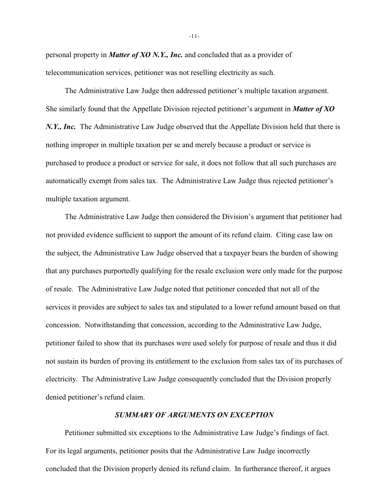personal property in *Matter of XO N.Y., Inc.* and concluded that as a provider of telecommunication services, petitioner was not reselling electricity as such.

The Administrative Law Judge then addressed petitioner's multiple taxation argument. She similarly found that the Appellate Division rejected petitioner's argument in *Matter of XO N.Y., Inc.* The Administrative Law Judge observed that the Appellate Division held that there is nothing improper in multiple taxation per se and merely because a product or service is purchased to produce a product or service for sale, it does not follow that all such purchases are automatically exempt from sales tax. The Administrative Law Judge thus rejected petitioner's multiple taxation argument.

The Administrative Law Judge then considered the Division's argument that petitioner had not provided evidence sufficient to support the amount of its refund claim. Citing case law on the subject, the Administrative Law Judge observed that a taxpayer bears the burden of showing that any purchases purportedly qualifying for the resale exclusion were only made for the purpose of resale. The Administrative Law Judge noted that petitioner conceded that not all of the services it provides are subject to sales tax and stipulated to a lower refund amount based on that concession. Notwithstanding that concession, according to the Administrative Law Judge, petitioner failed to show that its purchases were used solely for purpose of resale and thus it did not sustain its burden of proving its entitlement to the exclusion from sales tax of its purchases of electricity. The Administrative Law Judge consequently concluded that the Division properly denied petitioner's refund claim.

### *SUMMARY OF ARGUMENTS ON EXCEPTION*

Petitioner submitted six exceptions to the Administrative Law Judge's findings of fact. For its legal arguments, petitioner posits that the Administrative Law Judge incorrectly concluded that the Division properly denied its refund claim. In furtherance thereof, it argues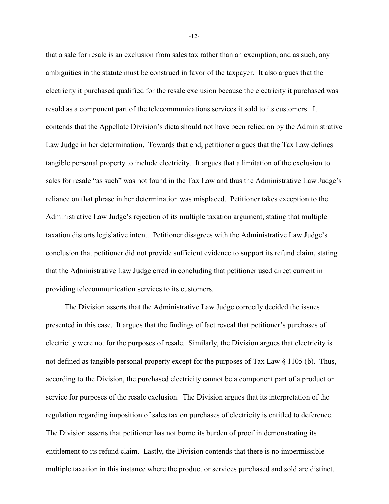that a sale for resale is an exclusion from sales tax rather than an exemption, and as such, any ambiguities in the statute must be construed in favor of the taxpayer. It also argues that the electricity it purchased qualified for the resale exclusion because the electricity it purchased was resold as a component part of the telecommunications services it sold to its customers. It contends that the Appellate Division's dicta should not have been relied on by the Administrative Law Judge in her determination. Towards that end, petitioner argues that the Tax Law defines tangible personal property to include electricity. It argues that a limitation of the exclusion to sales for resale "as such" was not found in the Tax Law and thus the Administrative Law Judge's reliance on that phrase in her determination was misplaced. Petitioner takes exception to the Administrative Law Judge's rejection of its multiple taxation argument, stating that multiple taxation distorts legislative intent. Petitioner disagrees with the Administrative Law Judge's conclusion that petitioner did not provide sufficient evidence to support its refund claim, stating that the Administrative Law Judge erred in concluding that petitioner used direct current in providing telecommunication services to its customers.

The Division asserts that the Administrative Law Judge correctly decided the issues presented in this case. It argues that the findings of fact reveal that petitioner's purchases of electricity were not for the purposes of resale. Similarly, the Division argues that electricity is not defined as tangible personal property except for the purposes of Tax Law  $\S 1105$  (b). Thus, according to the Division, the purchased electricity cannot be a component part of a product or service for purposes of the resale exclusion. The Division argues that its interpretation of the regulation regarding imposition of sales tax on purchases of electricity is entitled to deference. The Division asserts that petitioner has not borne its burden of proof in demonstrating its entitlement to its refund claim. Lastly, the Division contends that there is no impermissible multiple taxation in this instance where the product or services purchased and sold are distinct.

-12-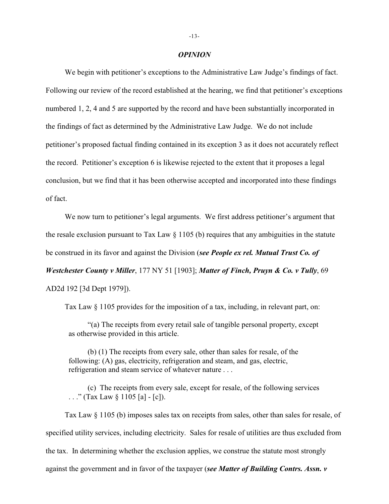#### *OPINION*

We begin with petitioner's exceptions to the Administrative Law Judge's findings of fact. Following our review of the record established at the hearing, we find that petitioner's exceptions numbered 1, 2, 4 and 5 are supported by the record and have been substantially incorporated in the findings of fact as determined by the Administrative Law Judge. We do not include petitioner's proposed factual finding contained in its exception 3 as it does not accurately reflect the record. Petitioner's exception 6 is likewise rejected to the extent that it proposes a legal conclusion, but we find that it has been otherwise accepted and incorporated into these findings of fact.

We now turn to petitioner's legal arguments. We first address petitioner's argument that the resale exclusion pursuant to Tax Law  $\S$  1105 (b) requires that any ambiguities in the statute be construed in its favor and against the Division (*see People ex rel. Mutual Trust Co. of Westchester County v Miller*, 177 NY 51 [1903]; *Matter of Finch, Pruyn & Co. v Tully*, 69 AD2d 192 [3d Dept 1979]).

Tax Law § 1105 provides for the imposition of a tax, including, in relevant part, on:

"(a) The receipts from every retail sale of tangible personal property, except as otherwise provided in this article.

(b) (1) The receipts from every sale, other than sales for resale, of the following: (A) gas, electricity, refrigeration and steam, and gas, electric, refrigeration and steam service of whatever nature . . .

(c) The receipts from every sale, except for resale, of the following services . . . " (Tax Law  $\S 1105$  [a] - [c]).

Tax Law § 1105 (b) imposes sales tax on receipts from sales, other than sales for resale, of specified utility services, including electricity. Sales for resale of utilities are thus excluded from the tax. In determining whether the exclusion applies, we construe the statute most strongly against the government and in favor of the taxpayer (*see Matter of Building Contrs. Assn. v*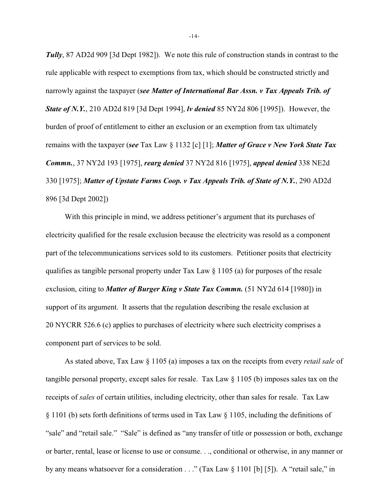*Tully*, 87 AD2d 909 [3d Dept 1982]). We note this rule of construction stands in contrast to the rule applicable with respect to exemptions from tax, which should be constructed strictly and narrowly against the taxpayer (*see Matter of International Bar Assn. v Tax Appeals Trib. of State of N.Y.*, 210 AD2d 819 [3d Dept 1994], *lv denied* 85 NY2d 806 [1995]). However, the burden of proof of entitlement to either an exclusion or an exemption from tax ultimately remains with the taxpayer (*see* Tax Law § 1132 [c] [1]; *Matter of Grace v New York State Tax Commn.*, 37 NY2d 193 [1975], *rearg denied* 37 NY2d 816 [1975], *appeal denied* 338 NE2d 330 [1975]; *Matter of Upstate Farms Coop. v Tax Appeals Trib. of State of N.Y.*, 290 AD2d 896 [3d Dept 2002])

With this principle in mind, we address petitioner's argument that its purchases of electricity qualified for the resale exclusion because the electricity was resold as a component part of the telecommunications services sold to its customers. Petitioner posits that electricity qualifies as tangible personal property under Tax Law  $\S$  1105 (a) for purposes of the resale exclusion, citing to *Matter of Burger King v State Tax Commn.* (51 NY2d 614 [1980]) in support of its argument. It asserts that the regulation describing the resale exclusion at 20 NYCRR 526.6 (c) applies to purchases of electricity where such electricity comprises a component part of services to be sold.

As stated above, Tax Law § 1105 (a) imposes a tax on the receipts from every *retail sale* of tangible personal property, except sales for resale. Tax Law § 1105 (b) imposes sales tax on the receipts of *sales* of certain utilities, including electricity, other than sales for resale. Tax Law § 1101 (b) sets forth definitions of terms used in Tax Law § 1105, including the definitions of "sale" and "retail sale." "Sale" is defined as "any transfer of title or possession or both, exchange or barter, rental, lease or license to use or consume. . ., conditional or otherwise, in any manner or by any means whatsoever for a consideration . . ." (Tax Law § 1101 [b] [5]). A "retail sale," in

-14-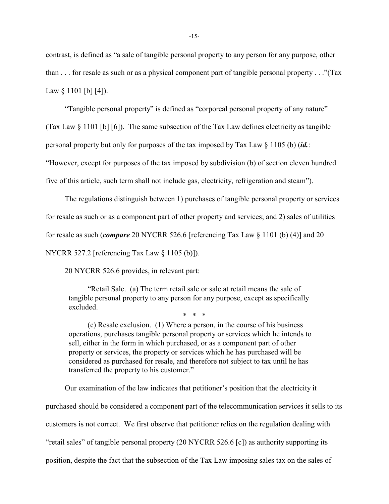contrast, is defined as "a sale of tangible personal property to any person for any purpose, other than . . . for resale as such or as a physical component part of tangible personal property . . ."(Tax Law  $\S$  1101 [b] [4]).

"Tangible personal property" is defined as "corporeal personal property of any nature"

(Tax Law  $\S$  1101 [b] [6]). The same subsection of the Tax Law defines electricity as tangible

personal property but only for purposes of the tax imposed by Tax Law § 1105 (b) (*id.*:

"However, except for purposes of the tax imposed by subdivision (b) of section eleven hundred

five of this article, such term shall not include gas, electricity, refrigeration and steam").

The regulations distinguish between 1) purchases of tangible personal property or services

for resale as such or as a component part of other property and services; and 2) sales of utilities

for resale as such (*compare* 20 NYCRR 526.6 [referencing Tax Law § 1101 (b) (4)] and 20

NYCRR 527.2 [referencing Tax Law § 1105 (b)]).

20 NYCRR 526.6 provides, in relevant part:

"Retail Sale. (a) The term retail sale or sale at retail means the sale of tangible personal property to any person for any purpose, except as specifically excluded.

\* \* \*

(c) Resale exclusion. (1) Where a person, in the course of his business operations, purchases tangible personal property or services which he intends to sell, either in the form in which purchased, or as a component part of other property or services, the property or services which he has purchased will be considered as purchased for resale, and therefore not subject to tax until he has transferred the property to his customer."

Our examination of the law indicates that petitioner's position that the electricity it purchased should be considered a component part of the telecommunication services it sells to its customers is not correct. We first observe that petitioner relies on the regulation dealing with "retail sales" of tangible personal property (20 NYCRR 526.6 [c]) as authority supporting its position, despite the fact that the subsection of the Tax Law imposing sales tax on the sales of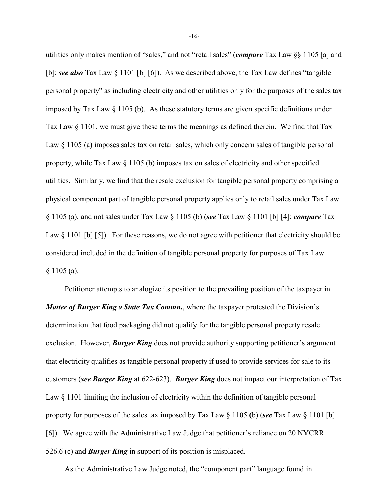utilities only makes mention of "sales," and not "retail sales" (*compare* Tax Law §§ 1105 [a] and [b]; *see also* Tax Law § 1101 [b] [6]). As we described above, the Tax Law defines "tangible personal property" as including electricity and other utilities only for the purposes of the sales tax imposed by Tax Law  $\S$  1105 (b). As these statutory terms are given specific definitions under Tax Law § 1101, we must give these terms the meanings as defined therein. We find that Tax Law  $\S 1105$  (a) imposes sales tax on retail sales, which only concern sales of tangible personal property, while Tax Law § 1105 (b) imposes tax on sales of electricity and other specified utilities. Similarly, we find that the resale exclusion for tangible personal property comprising a physical component part of tangible personal property applies only to retail sales under Tax Law § 1105 (a), and not sales under Tax Law § 1105 (b) (*see* Tax Law § 1101 [b] [4]; *compare* Tax Law  $\S 1101$  [b] [5]). For these reasons, we do not agree with petitioner that electricity should be considered included in the definition of tangible personal property for purposes of Tax Law § 1105 (a).

Petitioner attempts to analogize its position to the prevailing position of the taxpayer in *Matter of Burger King v State Tax Commn.*, where the taxpayer protested the Division's determination that food packaging did not qualify for the tangible personal property resale exclusion. However, **Burger King** does not provide authority supporting petitioner's argument that electricity qualifies as tangible personal property if used to provide services for sale to its customers (*see Burger King* at 622-623). *Burger King* does not impact our interpretation of Tax Law § 1101 limiting the inclusion of electricity within the definition of tangible personal property for purposes of the sales tax imposed by Tax Law § 1105 (b) (*see* Tax Law § 1101 [b] [6]). We agree with the Administrative Law Judge that petitioner's reliance on 20 NYCRR 526.6 (c) and *Burger King* in support of its position is misplaced.

As the Administrative Law Judge noted, the "component part" language found in

-16-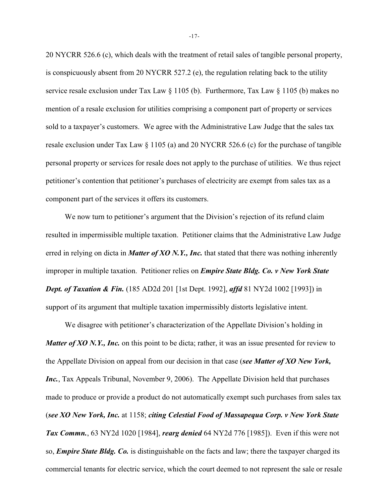20 NYCRR 526.6 (c), which deals with the treatment of retail sales of tangible personal property, is conspicuously absent from 20 NYCRR 527.2 (e), the regulation relating back to the utility service resale exclusion under Tax Law § 1105 (b). Furthermore, Tax Law § 1105 (b) makes no mention of a resale exclusion for utilities comprising a component part of property or services sold to a taxpayer's customers. We agree with the Administrative Law Judge that the sales tax resale exclusion under Tax Law § 1105 (a) and 20 NYCRR 526.6 (c) for the purchase of tangible personal property or services for resale does not apply to the purchase of utilities. We thus reject petitioner's contention that petitioner's purchases of electricity are exempt from sales tax as a component part of the services it offers its customers.

We now turn to petitioner's argument that the Division's rejection of its refund claim resulted in impermissible multiple taxation. Petitioner claims that the Administrative Law Judge erred in relying on dicta in *Matter of XO N.Y., Inc.* that stated that there was nothing inherently improper in multiple taxation. Petitioner relies on *Empire State Bldg. Co. v New York State Dept. of Taxation & Fin.* (185 AD2d 201 [1st Dept. 1992], *affd* 81 NY2d 1002 [1993]) in support of its argument that multiple taxation impermissibly distorts legislative intent.

We disagree with petitioner's characterization of the Appellate Division's holding in *Matter of XO N.Y., Inc.* on this point to be dicta; rather, it was an issue presented for review to the Appellate Division on appeal from our decision in that case (*see Matter of XO New York, Inc.*, Tax Appeals Tribunal, November 9, 2006). The Appellate Division held that purchases made to produce or provide a product do not automatically exempt such purchases from sales tax (*see XO New York, Inc.* at 1158; *citing Celestial Food of Massapequa Corp. v New York State Tax Commn.*, 63 NY2d 1020 [1984], *rearg denied* 64 NY2d 776 [1985]). Even if this were not so, *Empire State Bldg. Co.* is distinguishable on the facts and law; there the taxpayer charged its commercial tenants for electric service, which the court deemed to not represent the sale or resale

-17-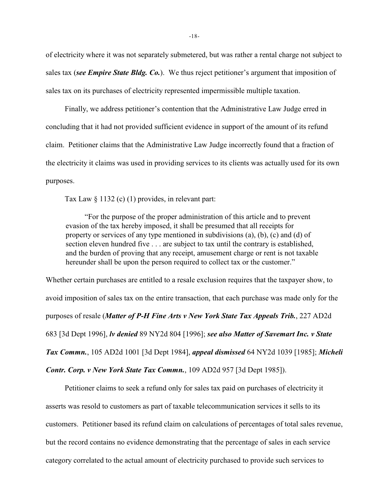of electricity where it was not separately submetered, but was rather a rental charge not subject to sales tax (*see Empire State Bldg. Co.*). We thus reject petitioner's argument that imposition of sales tax on its purchases of electricity represented impermissible multiple taxation.

Finally, we address petitioner's contention that the Administrative Law Judge erred in concluding that it had not provided sufficient evidence in support of the amount of its refund claim. Petitioner claims that the Administrative Law Judge incorrectly found that a fraction of the electricity it claims was used in providing services to its clients was actually used for its own purposes.

Tax Law § 1132 (c) (1) provides, in relevant part:

"For the purpose of the proper administration of this article and to prevent evasion of the tax hereby imposed, it shall be presumed that all receipts for property or services of any type mentioned in subdivisions (a), (b), (c) and (d) of section eleven hundred five . . . are subject to tax until the contrary is established, and the burden of proving that any receipt, amusement charge or rent is not taxable hereunder shall be upon the person required to collect tax or the customer."

Whether certain purchases are entitled to a resale exclusion requires that the taxpayer show, to avoid imposition of sales tax on the entire transaction, that each purchase was made only for the purposes of resale (*Matter of P-H Fine Arts v New York State Tax Appeals Trib.*, 227 AD2d 683 [3d Dept 1996], *lv denied* 89 NY2d 804 [1996]; *see also Matter of Savemart Inc. v State Tax Commn.*, 105 AD2d 1001 [3d Dept 1984], *appeal dismissed* 64 NY2d 1039 [1985]; *Micheli*

*Contr. Corp. v New York State Tax Commn.*, 109 AD2d 957 [3d Dept 1985]).

Petitioner claims to seek a refund only for sales tax paid on purchases of electricity it asserts was resold to customers as part of taxable telecommunication services it sells to its customers. Petitioner based its refund claim on calculations of percentages of total sales revenue, but the record contains no evidence demonstrating that the percentage of sales in each service category correlated to the actual amount of electricity purchased to provide such services to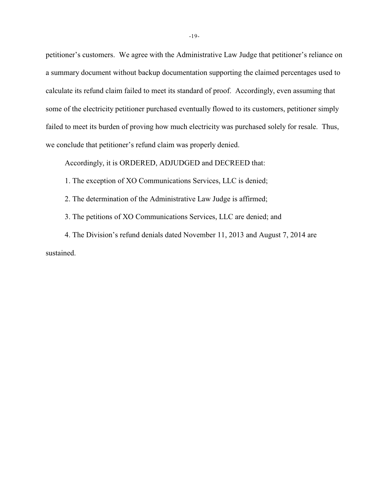petitioner's customers. We agree with the Administrative Law Judge that petitioner's reliance on a summary document without backup documentation supporting the claimed percentages used to calculate its refund claim failed to meet its standard of proof. Accordingly, even assuming that some of the electricity petitioner purchased eventually flowed to its customers, petitioner simply failed to meet its burden of proving how much electricity was purchased solely for resale. Thus, we conclude that petitioner's refund claim was properly denied.

Accordingly, it is ORDERED, ADJUDGED and DECREED that:

1. The exception of XO Communications Services, LLC is denied;

2. The determination of the Administrative Law Judge is affirmed;

3. The petitions of XO Communications Services, LLC are denied; and

4. The Division's refund denials dated November 11, 2013 and August 7, 2014 are sustained.